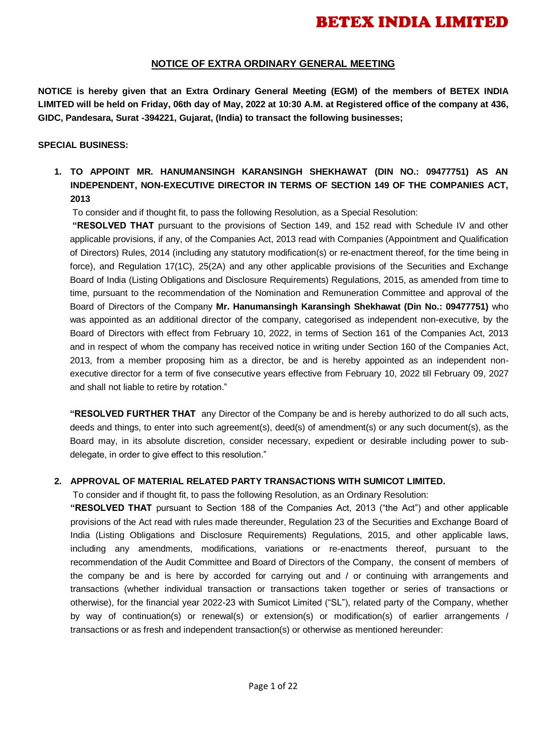### **NOTICE OF EXTRA ORDINARY GENERAL MEETING**

**NOTICE is hereby given that an Extra Ordinary General Meeting (EGM) of the members of BETEX INDIA LIMITED will be held on Friday, 06th day of May, 2022 at 10:30 A.M. at Registered office of the company at 436, GIDC, Pandesara, Surat -394221, Gujarat, (India) to transact the following businesses;**

### **SPECIAL BUSINESS:**

**1. TO APPOINT MR. HANUMANSINGH KARANSINGH SHEKHAWAT (DIN NO.: 09477751) AS AN INDEPENDENT, NON-EXECUTIVE DIRECTOR IN TERMS OF SECTION 149 OF THE COMPANIES ACT, 2013**

To consider and if thought fit, to pass the following Resolution, as a Special Resolution:

**"RESOLVED THAT** pursuant to the provisions of Section 149, and 152 read with Schedule IV and other applicable provisions, if any, of the Companies Act, 2013 read with Companies (Appointment and Qualification of Directors) Rules, 2014 (including any statutory modification(s) or re-enactment thereof, for the time being in force), and Regulation 17(1C), 25(2A) and any other applicable provisions of the Securities and Exchange Board of India (Listing Obligations and Disclosure Requirements) Regulations, 2015, as amended from time to time, pursuant to the recommendation of the Nomination and Remuneration Committee and approval of the Board of Directors of the Company **Mr. Hanumansingh Karansingh Shekhawat (Din No.: 09477751)** who was appointed as an additional director of the company, categorised as independent non-executive, by the Board of Directors with effect from February 10, 2022, in terms of Section 161 of the Companies Act, 2013 and in respect of whom the company has received notice in writing under Section 160 of the Companies Act, 2013, from a member proposing him as a director, be and is hereby appointed as an independent nonexecutive director for a term of five consecutive years effective from February 10, 2022 till February 09, 2027 and shall not liable to retire by rotation."

**"RESOLVED FURTHER THAT** any Director of the Company be and is hereby authorized to do all such acts, deeds and things, to enter into such agreement(s), deed(s) of amendment(s) or any such document(s), as the Board may, in its absolute discretion, consider necessary, expedient or desirable including power to subdelegate, in order to give effect to this resolution."

### **2. APPROVAL OF MATERIAL RELATED PARTY TRANSACTIONS WITH SUMICOT LIMITED.**

To consider and if thought fit, to pass the following Resolution, as an Ordinary Resolution:

**"RESOLVED THAT** pursuant to Section 188 of the Companies Act, 2013 ("the Act") and other applicable provisions of the Act read with rules made thereunder, Regulation 23 of the Securities and Exchange Board of India (Listing Obligations and Disclosure Requirements) Regulations, 2015, and other applicable laws, including any amendments, modifications, variations or re-enactments thereof, pursuant to the recommendation of the Audit Committee and Board of Directors of the Company, the consent of members of the company be and is here by accorded for carrying out and / or continuing with arrangements and transactions (whether individual transaction or transactions taken together or series of transactions or otherwise), for the financial year 2022-23 with Sumicot Limited ("SL"), related party of the Company, whether by way of continuation(s) or renewal(s) or extension(s) or modification(s) of earlier arrangements / transactions or as fresh and independent transaction(s) or otherwise as mentioned hereunder: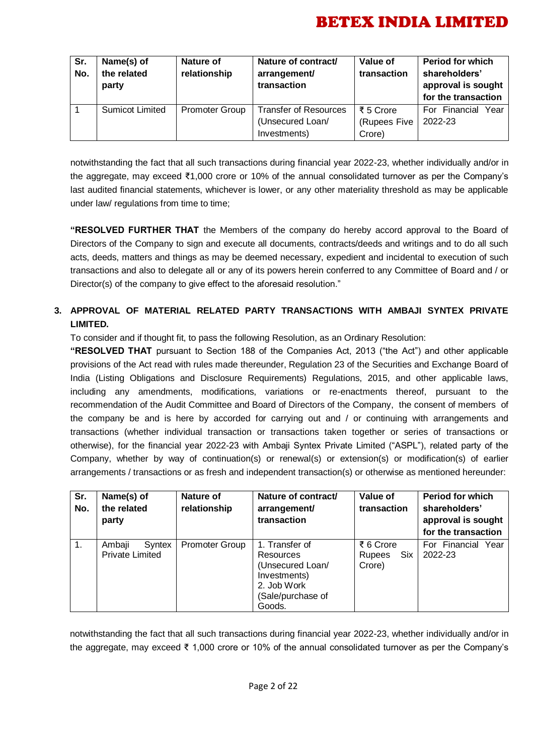| Sr.<br>No. | Name(s) of<br>the related<br>party | Nature of<br>relationship | Nature of contract/<br>arrangement/<br>transaction | Value of<br>transaction | <b>Period for which</b><br>shareholders'<br>approval is sought<br>for the transaction |
|------------|------------------------------------|---------------------------|----------------------------------------------------|-------------------------|---------------------------------------------------------------------------------------|
|            | <b>Sumicot Limited</b>             | <b>Promoter Group</b>     | <b>Transfer of Resources</b>                       | ₹ 5 Crore               | For Financial<br>Year                                                                 |
|            |                                    |                           | (Unsecured Loan/                                   | (Rupees Five            | 2022-23                                                                               |
|            |                                    |                           | Investments)                                       | Crore)                  |                                                                                       |

notwithstanding the fact that all such transactions during financial year 2022-23, whether individually and/or in the aggregate, may exceed ₹1,000 crore or 10% of the annual consolidated turnover as per the Company's last audited financial statements, whichever is lower, or any other materiality threshold as may be applicable under law/ regulations from time to time;

**"RESOLVED FURTHER THAT** the Members of the company do hereby accord approval to the Board of Directors of the Company to sign and execute all documents, contracts/deeds and writings and to do all such acts, deeds, matters and things as may be deemed necessary, expedient and incidental to execution of such transactions and also to delegate all or any of its powers herein conferred to any Committee of Board and / or Director(s) of the company to give effect to the aforesaid resolution."

### **3. APPROVAL OF MATERIAL RELATED PARTY TRANSACTIONS WITH AMBAJI SYNTEX PRIVATE LIMITED.**

To consider and if thought fit, to pass the following Resolution, as an Ordinary Resolution:

**"RESOLVED THAT** pursuant to Section 188 of the Companies Act, 2013 ("the Act") and other applicable provisions of the Act read with rules made thereunder, Regulation 23 of the Securities and Exchange Board of India (Listing Obligations and Disclosure Requirements) Regulations, 2015, and other applicable laws, including any amendments, modifications, variations or re-enactments thereof, pursuant to the recommendation of the Audit Committee and Board of Directors of the Company, the consent of members of the company be and is here by accorded for carrying out and / or continuing with arrangements and transactions (whether individual transaction or transactions taken together or series of transactions or otherwise), for the financial year 2022-23 with Ambaji Syntex Private Limited ("ASPL"), related party of the Company, whether by way of continuation(s) or renewal(s) or extension(s) or modification(s) of earlier arrangements / transactions or as fresh and independent transaction(s) or otherwise as mentioned hereunder:

| Sr.<br>No. | Name(s) of<br>the related<br>party         | Nature of<br>relationship | Nature of contract/<br>arrangement/<br>transaction                                                                   | Value of<br>transaction              | <b>Period for which</b><br>shareholders'<br>approval is sought<br>for the transaction |
|------------|--------------------------------------------|---------------------------|----------------------------------------------------------------------------------------------------------------------|--------------------------------------|---------------------------------------------------------------------------------------|
| 1.         | Ambaji<br>Syntex<br><b>Private Limited</b> | <b>Promoter Group</b>     | 1. Transfer of<br><b>Resources</b><br>(Unsecured Loan/<br>Investments)<br>2. Job Work<br>(Sale/purchase of<br>Goods. | ₹ 6 Crore<br>Six<br>Rupees<br>Crore) | For Financial Year<br>2022-23                                                         |

notwithstanding the fact that all such transactions during financial year 2022-23, whether individually and/or in the aggregate, may exceed ₹ 1,000 crore or 10% of the annual consolidated turnover as per the Company's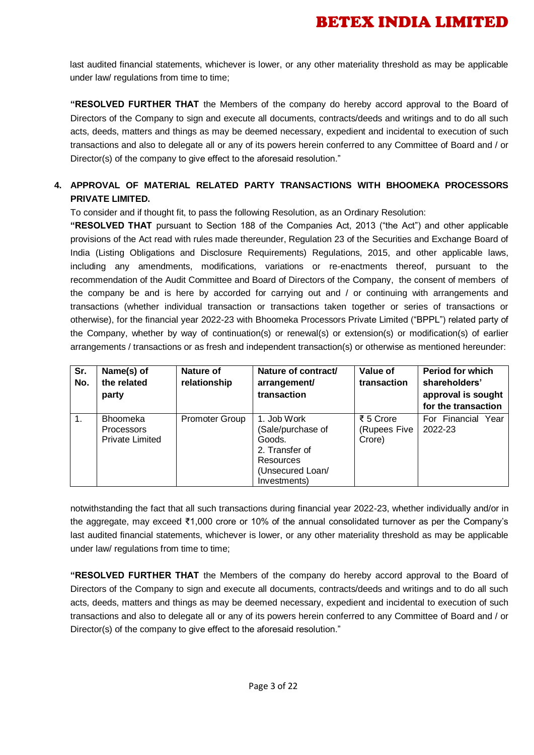last audited financial statements, whichever is lower, or any other materiality threshold as may be applicable under law/ regulations from time to time:

**"RESOLVED FURTHER THAT** the Members of the company do hereby accord approval to the Board of Directors of the Company to sign and execute all documents, contracts/deeds and writings and to do all such acts, deeds, matters and things as may be deemed necessary, expedient and incidental to execution of such transactions and also to delegate all or any of its powers herein conferred to any Committee of Board and / or Director(s) of the company to give effect to the aforesaid resolution."

### **4. APPROVAL OF MATERIAL RELATED PARTY TRANSACTIONS WITH BHOOMEKA PROCESSORS PRIVATE LIMITED.**

To consider and if thought fit, to pass the following Resolution, as an Ordinary Resolution:

**"RESOLVED THAT** pursuant to Section 188 of the Companies Act, 2013 ("the Act") and other applicable provisions of the Act read with rules made thereunder, Regulation 23 of the Securities and Exchange Board of India (Listing Obligations and Disclosure Requirements) Regulations, 2015, and other applicable laws, including any amendments, modifications, variations or re-enactments thereof, pursuant to the recommendation of the Audit Committee and Board of Directors of the Company, the consent of members of the company be and is here by accorded for carrying out and / or continuing with arrangements and transactions (whether individual transaction or transactions taken together or series of transactions or otherwise), for the financial year 2022-23 with Bhoomeka Processors Private Limited ("BPPL") related party of the Company, whether by way of continuation(s) or renewal(s) or extension(s) or modification(s) of earlier arrangements / transactions or as fresh and independent transaction(s) or otherwise as mentioned hereunder:

| Sr.<br>No. | Name(s) of<br>the related<br>party                             | <b>Nature of</b><br>relationship | Nature of contract/<br>arrangement/<br>transaction                                                            | Value of<br>transaction             | Period for which<br>shareholders'<br>approval is sought<br>for the transaction |
|------------|----------------------------------------------------------------|----------------------------------|---------------------------------------------------------------------------------------------------------------|-------------------------------------|--------------------------------------------------------------------------------|
|            | <b>Bhoomeka</b><br><b>Processors</b><br><b>Private Limited</b> | <b>Promoter Group</b>            | 1. Job Work<br>(Sale/purchase of<br>Goods.<br>2. Transfer of<br>Resources<br>(Unsecured Loan/<br>Investments) | ₹ 5 Crore<br>(Rupees Five<br>Crore) | For Financial Year<br>2022-23                                                  |

notwithstanding the fact that all such transactions during financial year 2022-23, whether individually and/or in the aggregate, may exceed ₹1,000 crore or 10% of the annual consolidated turnover as per the Company's last audited financial statements, whichever is lower, or any other materiality threshold as may be applicable under law/ regulations from time to time;

**"RESOLVED FURTHER THAT** the Members of the company do hereby accord approval to the Board of Directors of the Company to sign and execute all documents, contracts/deeds and writings and to do all such acts, deeds, matters and things as may be deemed necessary, expedient and incidental to execution of such transactions and also to delegate all or any of its powers herein conferred to any Committee of Board and / or Director(s) of the company to give effect to the aforesaid resolution."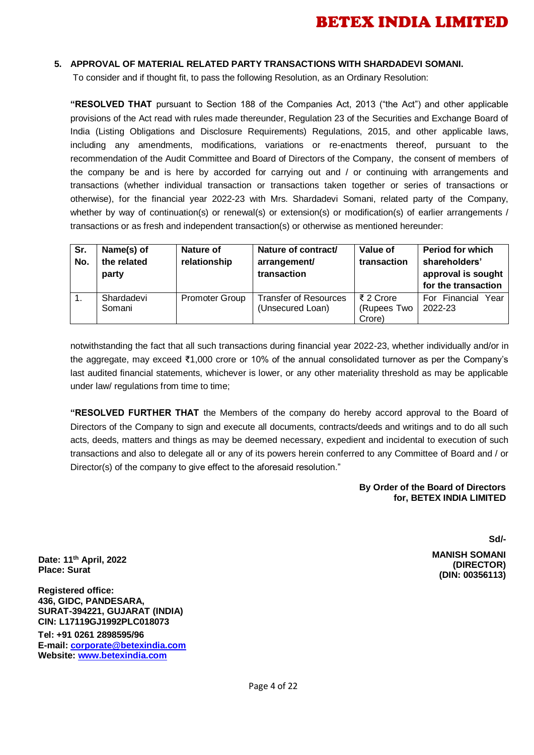### **5. APPROVAL OF MATERIAL RELATED PARTY TRANSACTIONS WITH SHARDADEVI SOMANI.**

To consider and if thought fit, to pass the following Resolution, as an Ordinary Resolution:

**"RESOLVED THAT** pursuant to Section 188 of the Companies Act, 2013 ("the Act") and other applicable provisions of the Act read with rules made thereunder, Regulation 23 of the Securities and Exchange Board of India (Listing Obligations and Disclosure Requirements) Regulations, 2015, and other applicable laws, including any amendments, modifications, variations or re-enactments thereof, pursuant to the recommendation of the Audit Committee and Board of Directors of the Company, the consent of members of the company be and is here by accorded for carrying out and / or continuing with arrangements and transactions (whether individual transaction or transactions taken together or series of transactions or otherwise), for the financial year 2022-23 with Mrs. Shardadevi Somani, related party of the Company, whether by way of continuation(s) or renewal(s) or extension(s) or modification(s) of earlier arrangements / transactions or as fresh and independent transaction(s) or otherwise as mentioned hereunder:

| Sr.<br>No. | Name(s) of<br>the related<br>party | Nature of<br>relationship | Nature of contract/<br>arrangement/<br>transaction | <b>Value of</b><br>transaction     | <b>Period for which</b><br>shareholders'<br>approval is sought<br>for the transaction |
|------------|------------------------------------|---------------------------|----------------------------------------------------|------------------------------------|---------------------------------------------------------------------------------------|
|            | Shardadevi<br>Somani               | <b>Promoter Group</b>     | <b>Transfer of Resources</b><br>(Unsecured Loan)   | ₹ 2 Crore<br>(Rupees Two<br>Crore) | For Financial<br>Year<br>2022-23                                                      |

notwithstanding the fact that all such transactions during financial year 2022-23, whether individually and/or in the aggregate, may exceed ₹1,000 crore or 10% of the annual consolidated turnover as per the Company's last audited financial statements, whichever is lower, or any other materiality threshold as may be applicable under law/ regulations from time to time;

**"RESOLVED FURTHER THAT** the Members of the company do hereby accord approval to the Board of Directors of the Company to sign and execute all documents, contracts/deeds and writings and to do all such acts, deeds, matters and things as may be deemed necessary, expedient and incidental to execution of such transactions and also to delegate all or any of its powers herein conferred to any Committee of Board and / or Director(s) of the company to give effect to the aforesaid resolution."

#### **By Order of the Board of Directors for, BETEX INDIA LIMITED**

**Sd/-**

 **MANISH SOMANI (DIRECTOR) (DIN: 00356113)**

**Date: 11th April, 2022 Place: Surat**

**Registered office: 436, GIDC, PANDESARA, SURAT-394221, GUJARAT (INDIA) CIN: L17119GJ1992PLC018073**

**Tel: +91 0261 2898595/96 E-mail[: corporate@betexindia.com](mailto:corporate@betexindia.com) Website: [www.betexindia.com](http://www.betexindia.com/)**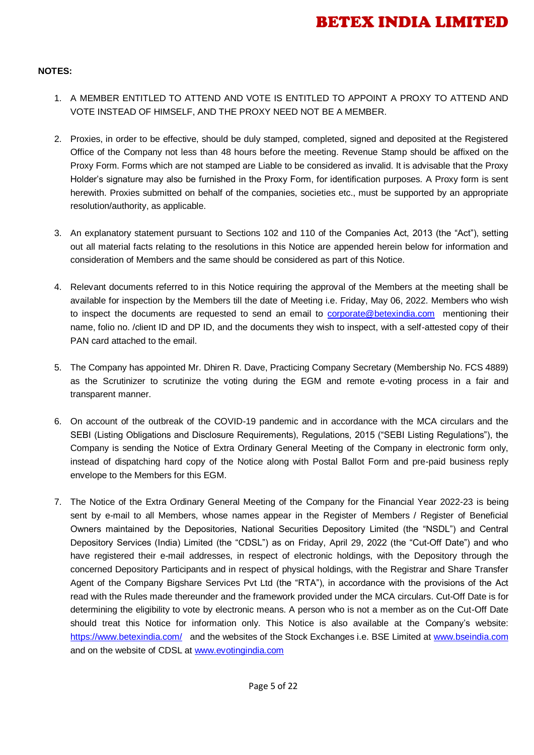### **NOTES:**

- 1. A MEMBER ENTITLED TO ATTEND AND VOTE IS ENTITLED TO APPOINT A PROXY TO ATTEND AND VOTE INSTEAD OF HIMSELF, AND THE PROXY NEED NOT BE A MEMBER.
- 2. Proxies, in order to be effective, should be duly stamped, completed, signed and deposited at the Registered Office of the Company not less than 48 hours before the meeting. Revenue Stamp should be affixed on the Proxy Form. Forms which are not stamped are Liable to be considered as invalid. It is advisable that the Proxy Holder's signature may also be furnished in the Proxy Form, for identification purposes. A Proxy form is sent herewith. Proxies submitted on behalf of the companies, societies etc., must be supported by an appropriate resolution/authority, as applicable.
- 3. An explanatory statement pursuant to Sections 102 and 110 of the Companies Act, 2013 (the "Act"), setting out all material facts relating to the resolutions in this Notice are appended herein below for information and consideration of Members and the same should be considered as part of this Notice.
- 4. Relevant documents referred to in this Notice requiring the approval of the Members at the meeting shall be available for inspection by the Members till the date of Meeting i.e. Friday, May 06, 2022. Members who wish to inspect the documents are requested to send an email to [corporate@betexindia.com](mailto:corporate@betexindia.com) mentioning their name, folio no. /client ID and DP ID, and the documents they wish to inspect, with a self-attested copy of their PAN card attached to the email.
- 5. The Company has appointed Mr. Dhiren R. Dave, Practicing Company Secretary (Membership No. FCS 4889) as the Scrutinizer to scrutinize the voting during the EGM and remote e-voting process in a fair and transparent manner.
- 6. On account of the outbreak of the COVID-19 pandemic and in accordance with the MCA circulars and the SEBI (Listing Obligations and Disclosure Requirements), Regulations, 2015 ("SEBI Listing Regulations"), the Company is sending the Notice of Extra Ordinary General Meeting of the Company in electronic form only, instead of dispatching hard copy of the Notice along with Postal Ballot Form and pre-paid business reply envelope to the Members for this EGM.
- 7. The Notice of the Extra Ordinary General Meeting of the Company for the Financial Year 2022-23 is being sent by e-mail to all Members, whose names appear in the Register of Members / Register of Beneficial Owners maintained by the Depositories, National Securities Depository Limited (the "NSDL") and Central Depository Services (India) Limited (the "CDSL") as on Friday, April 29, 2022 (the "Cut-Off Date") and who have registered their e-mail addresses, in respect of electronic holdings, with the Depository through the concerned Depository Participants and in respect of physical holdings, with the Registrar and Share Transfer Agent of the Company Bigshare Services Pvt Ltd (the "RTA"), in accordance with the provisions of the Act read with the Rules made thereunder and the framework provided under the MCA circulars. Cut-Off Date is for determining the eligibility to vote by electronic means. A person who is not a member as on the Cut-Off Date should treat this Notice for information only. This Notice is also available at the Company's website: <https://www.betexindia.com/> and the websites of the Stock Exchanges i.e. BSE Limited at [www.bseindia.com](http://www.bseindia.com/) and on the website of CDSL at [www.evotingindia.com](http://www.evotingindia.com/)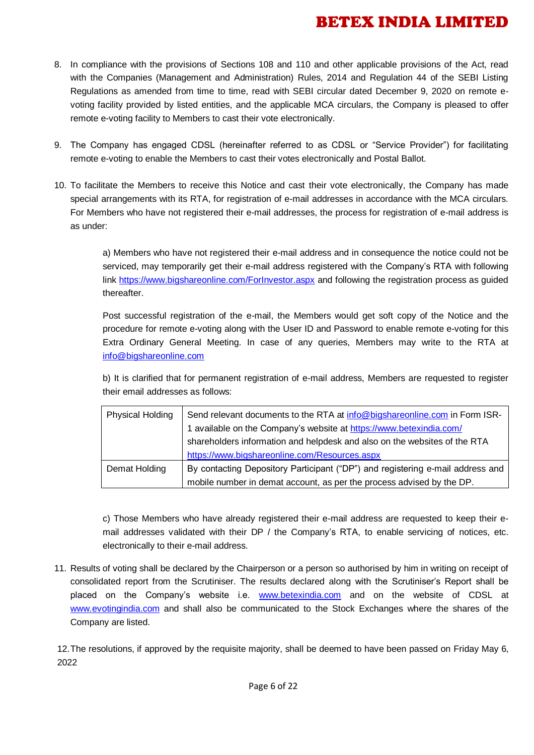- 8. In compliance with the provisions of Sections 108 and 110 and other applicable provisions of the Act, read with the Companies (Management and Administration) Rules, 2014 and Regulation 44 of the SEBI Listing Regulations as amended from time to time, read with SEBI circular dated December 9, 2020 on remote evoting facility provided by listed entities, and the applicable MCA circulars, the Company is pleased to offer remote e-voting facility to Members to cast their vote electronically.
- 9. The Company has engaged CDSL (hereinafter referred to as CDSL or "Service Provider") for facilitating remote e-voting to enable the Members to cast their votes electronically and Postal Ballot.
- 10. To facilitate the Members to receive this Notice and cast their vote electronically, the Company has made special arrangements with its RTA, for registration of e-mail addresses in accordance with the MCA circulars. For Members who have not registered their e-mail addresses, the process for registration of e-mail address is as under:

a) Members who have not registered their e-mail address and in consequence the notice could not be serviced, may temporarily get their e-mail address registered with the Company's RTA with following link<https://www.bigshareonline.com/ForInvestor.aspx> and following the registration process as guided thereafter.

Post successful registration of the e-mail, the Members would get soft copy of the Notice and the procedure for remote e-voting along with the User ID and Password to enable remote e-voting for this Extra Ordinary General Meeting. In case of any queries, Members may write to the RTA at [info@bigshareonline.com](mailto:info@bigshareonline.com)

b) It is clarified that for permanent registration of e-mail address, Members are requested to register their email addresses as follows:

| <b>Physical Holding</b> | Send relevant documents to the RTA at info@bigshareonline.com in Form ISR-     |
|-------------------------|--------------------------------------------------------------------------------|
|                         | 1 available on the Company's website at https://www.betexindia.com/            |
|                         | shareholders information and helpdesk and also on the websites of the RTA      |
|                         | https://www.bigshareonline.com/Resources.aspx                                  |
| Demat Holding           | By contacting Depository Participant ("DP") and registering e-mail address and |
|                         | mobile number in demat account, as per the process advised by the DP.          |

c) Those Members who have already registered their e-mail address are requested to keep their email addresses validated with their DP / the Company's RTA, to enable servicing of notices, etc. electronically to their e-mail address.

11. Results of voting shall be declared by the Chairperson or a person so authorised by him in writing on receipt of consolidated report from the Scrutiniser. The results declared along with the Scrutiniser's Report shall be placed on the Company's website i.e. [www.betexindia.com](http://www.betexindia.com/) and on the website of CDSL at [www.evotingindia.com](http://www.evotingindia.com/) and shall also be communicated to the Stock Exchanges where the shares of the Company are listed.

12.The resolutions, if approved by the requisite majority, shall be deemed to have been passed on Friday May 6, 2022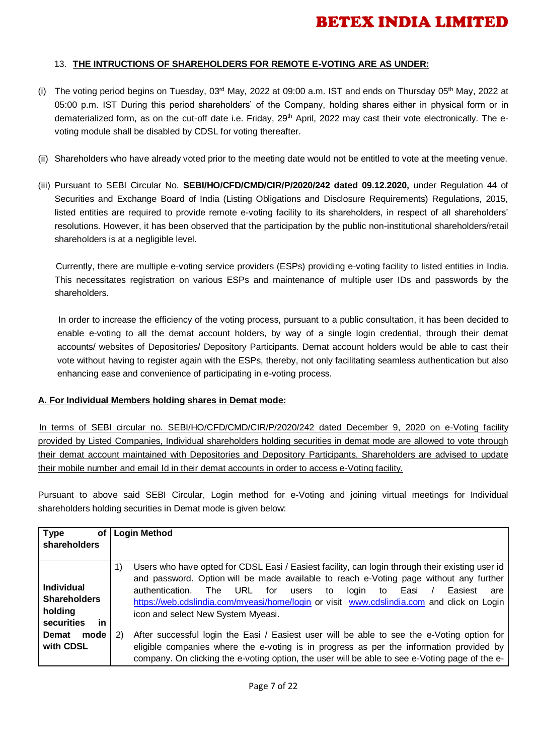### 13. **THE INTRUCTIONS OF SHAREHOLDERS FOR REMOTE E-VOTING ARE AS UNDER:**

- (i) The voting period begins on Tuesday, 03rd May, 2022 at 09:00 a.m. IST and ends on Thursday 05<sup>th</sup> May, 2022 at 05:00 p.m. IST During this period shareholders' of the Company, holding shares either in physical form or in dematerialized form, as on the cut-off date i.e. Friday, 29<sup>th</sup> April, 2022 may cast their vote electronically. The evoting module shall be disabled by CDSL for voting thereafter.
- (ii) Shareholders who have already voted prior to the meeting date would not be entitled to vote at the meeting venue.
- (iii) Pursuant to SEBI Circular No. **SEBI/HO/CFD/CMD/CIR/P/2020/242 dated 09.12.2020,** under Regulation 44 of Securities and Exchange Board of India (Listing Obligations and Disclosure Requirements) Regulations, 2015, listed entities are required to provide remote e-voting facility to its shareholders, in respect of all shareholders' resolutions. However, it has been observed that the participation by the public non-institutional shareholders/retail shareholders is at a negligible level.

 Currently, there are multiple e-voting service providers (ESPs) providing e-voting facility to listed entities in India. This necessitates registration on various ESPs and maintenance of multiple user IDs and passwords by the shareholders.

 In order to increase the efficiency of the voting process, pursuant to a public consultation, it has been decided to enable e-voting to all the demat account holders, by way of a single login credential, through their demat accounts/ websites of Depositories/ Depository Participants. Demat account holders would be able to cast their vote without having to register again with the ESPs, thereby, not only facilitating seamless authentication but also enhancing ease and convenience of participating in e-voting process.

#### **A. For Individual Members holding shares in Demat mode:**

 In terms of SEBI circular no. SEBI/HO/CFD/CMD/CIR/P/2020/242 dated December 9, 2020 on e-Voting facility provided by Listed Companies, Individual shareholders holding securities in demat mode are allowed to vote through their demat account maintained with Depositories and Depository Participants. Shareholders are advised to update their mobile number and email Id in their demat accounts in order to access e-Voting facility.

Pursuant to above said SEBI Circular, Login method for e-Voting and joining virtual meetings for Individual shareholders holding securities in Demat mode is given below:

| Type<br>of <sub>1</sub>                                                               | <b>Login Method</b>                                                                                                                                                                                                                                                                                                                                                                                                                                                                                                           |
|---------------------------------------------------------------------------------------|-------------------------------------------------------------------------------------------------------------------------------------------------------------------------------------------------------------------------------------------------------------------------------------------------------------------------------------------------------------------------------------------------------------------------------------------------------------------------------------------------------------------------------|
| shareholders                                                                          |                                                                                                                                                                                                                                                                                                                                                                                                                                                                                                                               |
| <b>Individual</b><br><b>Shareholders</b><br>holding<br>in<br>securities<br>Demat mode | Users who have opted for CDSL Easi / Easiest facility, can login through their existing user id<br>1)<br>and password. Option will be made available to reach e-Voting page without any further<br>URL for users<br>Easiest<br>authentication.<br>login to<br>Easi<br>The<br>to<br>are<br>https://web.cdslindia.com/myeasi/home/login or visit www.cdslindia.com and click on Login<br>icon and select New System Myeasi.<br>After successful login the Easi / Easiest user will be able to see the e-Voting option for<br>2) |
| with CDSL                                                                             | eligible companies where the e-voting is in progress as per the information provided by<br>company. On clicking the e-voting option, the user will be able to see e-Voting page of the e-                                                                                                                                                                                                                                                                                                                                     |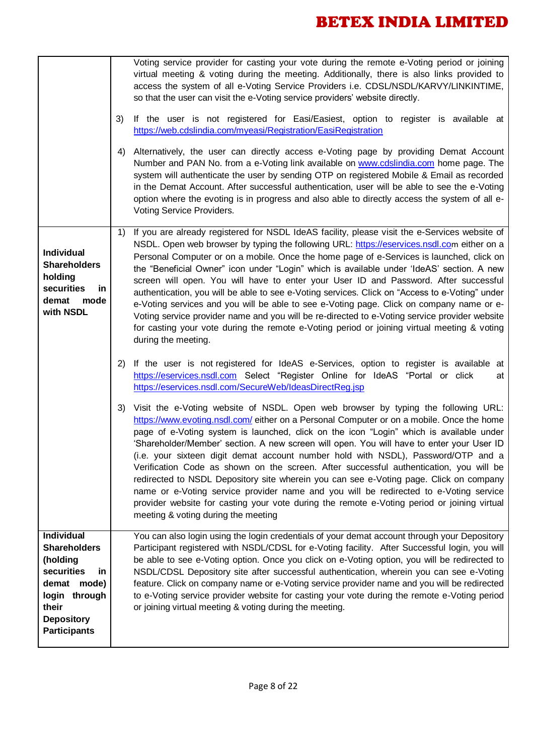|                                                                                                                                                               | 3)<br>4) | Voting service provider for casting your vote during the remote e-Voting period or joining<br>virtual meeting & voting during the meeting. Additionally, there is also links provided to<br>access the system of all e-Voting Service Providers i.e. CDSL/NSDL/KARVY/LINKINTIME,<br>so that the user can visit the e-Voting service providers' website directly.<br>If the user is not registered for Easi/Easiest, option to register is available at<br>https://web.cdslindia.com/myeasi/Registration/EasiRegistration<br>Alternatively, the user can directly access e-Voting page by providing Demat Account<br>Number and PAN No. from a e-Voting link available on www.cdslindia.com home page. The<br>system will authenticate the user by sending OTP on registered Mobile & Email as recorded<br>in the Demat Account. After successful authentication, user will be able to see the e-Voting<br>option where the evoting is in progress and also able to directly access the system of all e-<br>Voting Service Providers. |
|---------------------------------------------------------------------------------------------------------------------------------------------------------------|----------|--------------------------------------------------------------------------------------------------------------------------------------------------------------------------------------------------------------------------------------------------------------------------------------------------------------------------------------------------------------------------------------------------------------------------------------------------------------------------------------------------------------------------------------------------------------------------------------------------------------------------------------------------------------------------------------------------------------------------------------------------------------------------------------------------------------------------------------------------------------------------------------------------------------------------------------------------------------------------------------------------------------------------------------|
| Individual<br><b>Shareholders</b><br>holding<br>securities<br>in<br>demat<br>mode<br>with NSDL                                                                | 1)       | If you are already registered for NSDL IdeAS facility, please visit the e-Services website of<br>NSDL. Open web browser by typing the following URL: https://eservices.nsdl.com either on a<br>Personal Computer or on a mobile. Once the home page of e-Services is launched, click on<br>the "Beneficial Owner" icon under "Login" which is available under 'IdeAS' section. A new<br>screen will open. You will have to enter your User ID and Password. After successful<br>authentication, you will be able to see e-Voting services. Click on "Access to e-Voting" under<br>e-Voting services and you will be able to see e-Voting page. Click on company name or e-<br>Voting service provider name and you will be re-directed to e-Voting service provider website<br>for casting your vote during the remote e-Voting period or joining virtual meeting & voting<br>during the meeting.                                                                                                                                    |
|                                                                                                                                                               | 2)       | If the user is not registered for IdeAS e-Services, option to register is available at<br>https://eservices.nsdl.com Select "Register Online for IdeAS "Portal or click<br>at<br>https://eservices.nsdl.com/SecureWeb/IdeasDirectReg.jsp                                                                                                                                                                                                                                                                                                                                                                                                                                                                                                                                                                                                                                                                                                                                                                                             |
|                                                                                                                                                               | 3)       | Visit the e-Voting website of NSDL. Open web browser by typing the following URL:<br>https://www.evoting.nsdl.com/ either on a Personal Computer or on a mobile. Once the home<br>page of e-Voting system is launched, click on the icon "Login" which is available under<br>'Shareholder/Member' section. A new screen will open. You will have to enter your User ID<br>(i.e. your sixteen digit demat account number hold with NSDL), Password/OTP and a<br>Verification Code as shown on the screen. After successful authentication, you will be<br>redirected to NSDL Depository site wherein you can see e-Voting page. Click on company<br>name or e-Voting service provider name and you will be redirected to e-Voting service<br>provider website for casting your vote during the remote e-Voting period or joining virtual<br>meeting & voting during the meeting                                                                                                                                                       |
| <b>Individual</b><br><b>Shareholders</b><br>(holding<br>securities<br>in<br>demat mode)<br>login through<br>their<br><b>Depository</b><br><b>Participants</b> |          | You can also login using the login credentials of your demat account through your Depository<br>Participant registered with NSDL/CDSL for e-Voting facility. After Successful login, you will<br>be able to see e-Voting option. Once you click on e-Voting option, you will be redirected to<br>NSDL/CDSL Depository site after successful authentication, wherein you can see e-Voting<br>feature. Click on company name or e-Voting service provider name and you will be redirected<br>to e-Voting service provider website for casting your vote during the remote e-Voting period<br>or joining virtual meeting & voting during the meeting.                                                                                                                                                                                                                                                                                                                                                                                   |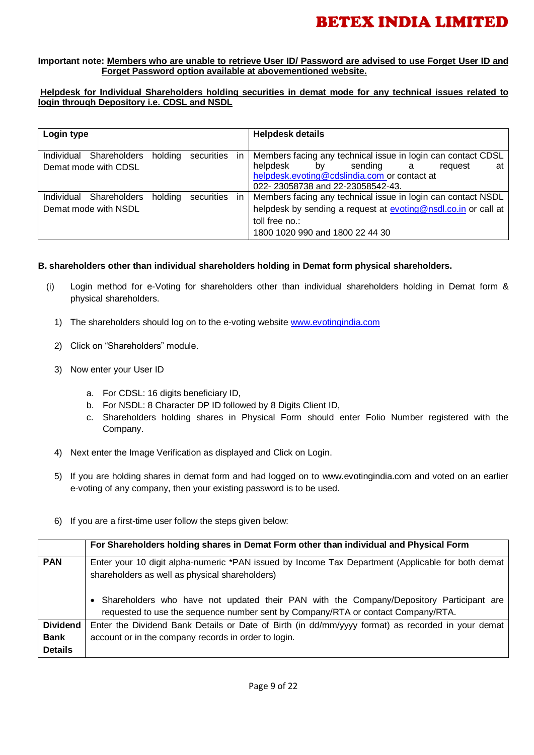### **Important note: Members who are unable to retrieve User ID/ Password are advised to use Forget User ID and Forget Password option available at abovementioned website.**

### **Helpdesk for Individual Shareholders holding securities in demat mode for any technical issues related to login through Depository i.e. CDSL and NSDL**

| Login type                                         |                       |     | <b>Helpdesk details</b>                                                                                                                                                                                 |
|----------------------------------------------------|-----------------------|-----|---------------------------------------------------------------------------------------------------------------------------------------------------------------------------------------------------------|
| Individual<br>Shareholders<br>Demat mode with CDSL | holding<br>securities | in. | Members facing any technical issue in login can contact CDSL<br>helpdesk<br>sending<br>bv l<br>at<br>a a<br>request<br>helpdesk.evoting@cdslindia.com or contact at<br>022-23058738 and 22-23058542-43. |
| Individual<br>Shareholders<br>Demat mode with NSDL | holding<br>securities | in. | Members facing any technical issue in login can contact NSDL<br>helpdesk by sending a request at evoting@nsdl.co.in or call at<br>toll free no.:<br>1800 1020 990 and 1800 22 44 30                     |

### **B. shareholders other than individual shareholders holding in Demat form physical shareholders.**

- (i) Login method for e-Voting for shareholders other than individual shareholders holding in Demat form & physical shareholders.
	- 1) The shareholders should log on to the e-voting website [www.evotingindia.com](http://www.evotingindia.com/)
	- 2) Click on "Shareholders" module.
	- 3) Now enter your User ID
		- a. For CDSL: 16 digits beneficiary ID,
		- b. For NSDL: 8 Character DP ID followed by 8 Digits Client ID,
		- c. Shareholders holding shares in Physical Form should enter Folio Number registered with the Company.
	- 4) Next enter the Image Verification as displayed and Click on Login.
	- 5) If you are holding shares in demat form and had logged on to [www.evotingindia.com](http://www.evotingindia.com/) and voted on an earlier e-voting of any company, then your existing password is to be used.
	- 6) If you are a first-time user follow the steps given below:

|                 | For Shareholders holding shares in Demat Form other than individual and Physical Form                                                                                       |
|-----------------|-----------------------------------------------------------------------------------------------------------------------------------------------------------------------------|
| <b>PAN</b>      | Enter your 10 digit alpha-numeric *PAN issued by Income Tax Department (Applicable for both demat<br>shareholders as well as physical shareholders)                         |
|                 | Shareholders who have not updated their PAN with the Company/Depository Participant are<br>requested to use the sequence number sent by Company/RTA or contact Company/RTA. |
| <b>Dividend</b> | Enter the Dividend Bank Details or Date of Birth (in dd/mm/yyyy format) as recorded in your demat                                                                           |
| <b>Bank</b>     | account or in the company records in order to login.                                                                                                                        |
| <b>Details</b>  |                                                                                                                                                                             |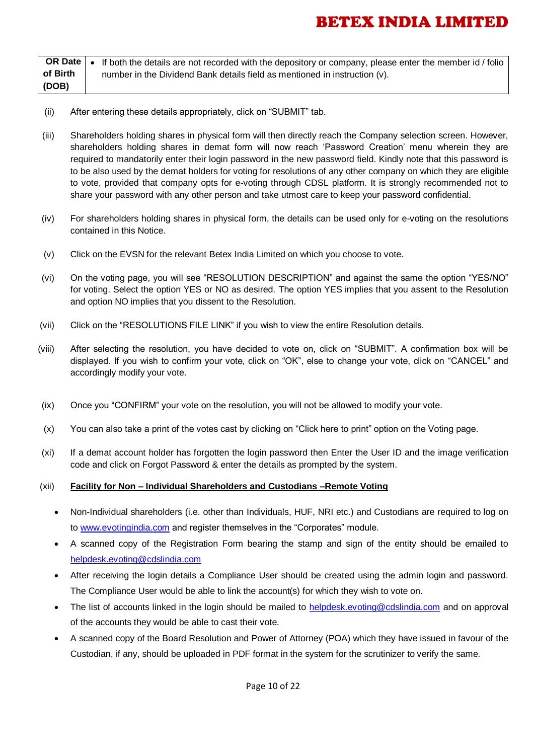|          | OR Date   • If both the details are not recorded with the depository or company, please enter the member id / folio ' |
|----------|-----------------------------------------------------------------------------------------------------------------------|
| of Birth | number in the Dividend Bank details field as mentioned in instruction (v).                                            |
| (DOB)    |                                                                                                                       |

- (ii) After entering these details appropriately, click on "SUBMIT" tab.
- (iii) Shareholders holding shares in physical form will then directly reach the Company selection screen. However, shareholders holding shares in demat form will now reach 'Password Creation' menu wherein they are required to mandatorily enter their login password in the new password field. Kindly note that this password is to be also used by the demat holders for voting for resolutions of any other company on which they are eligible to vote, provided that company opts for e-voting through CDSL platform. It is strongly recommended not to share your password with any other person and take utmost care to keep your password confidential.
- (iv) For shareholders holding shares in physical form, the details can be used only for e-voting on the resolutions contained in this Notice.
- (v) Click on the EVSN for the relevant Betex India Limited on which you choose to vote.
- (vi) On the voting page, you will see "RESOLUTION DESCRIPTION" and against the same the option "YES/NO" for voting. Select the option YES or NO as desired. The option YES implies that you assent to the Resolution and option NO implies that you dissent to the Resolution.
- (vii) Click on the "RESOLUTIONS FILE LINK" if you wish to view the entire Resolution details.
- (viii) After selecting the resolution, you have decided to vote on, click on "SUBMIT". A confirmation box will be displayed. If you wish to confirm your vote, click on "OK", else to change your vote, click on "CANCEL" and accordingly modify your vote.
- (ix) Once you "CONFIRM" your vote on the resolution, you will not be allowed to modify your vote.
- (x) You can also take a print of the votes cast by clicking on "Click here to print" option on the Voting page.
- (xi) If a demat account holder has forgotten the login password then Enter the User ID and the image verification code and click on Forgot Password & enter the details as prompted by the system.

### (xii) **Facility for Non – Individual Shareholders and Custodians –Remote Voting**

- Non-Individual shareholders (i.e. other than Individuals, HUF, NRI etc.) and Custodians are required to log on to [www.evotingindia.com](http://www.evotingindia.com/) and register themselves in the "Corporates" module.
- A scanned copy of the Registration Form bearing the stamp and sign of the entity should be emailed to [helpdesk.evoting@cdslindia.com](mailto:helpdesk.evoting@cdslindia.com)
- After receiving the login details a Compliance User should be created using the admin login and password. The Compliance User would be able to link the account(s) for which they wish to vote on.
- The list of accounts linked in the login should be mailed to helpdesk.evoting@cdslindia.com and on approval of the accounts they would be able to cast their vote.
- A scanned copy of the Board Resolution and Power of Attorney (POA) which they have issued in favour of the Custodian, if any, should be uploaded in PDF format in the system for the scrutinizer to verify the same.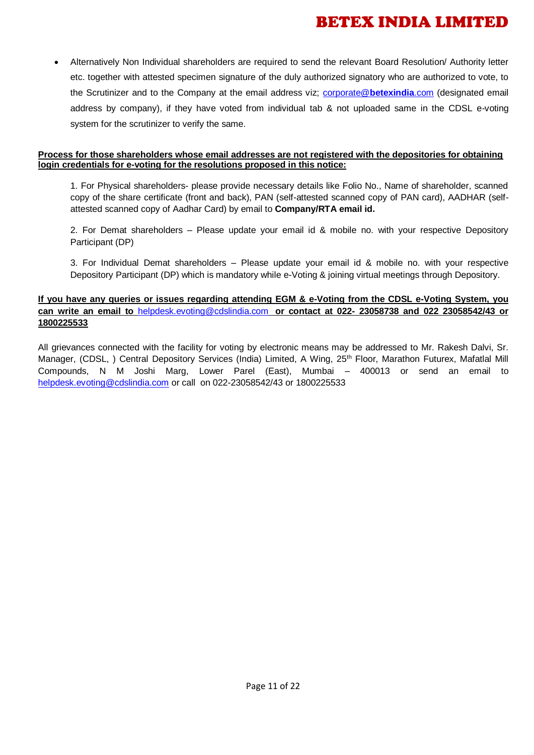Alternatively Non Individual shareholders are required to send the relevant Board Resolution/ Authority letter etc. together with attested specimen signature of the duly authorized signatory who are authorized to vote, to the Scrutinizer and to the Company at the email address viz; [corporate@](mailto:corporate@betexindia.com)**betexindia**.com (designated email address by company), if they have voted from individual tab & not uploaded same in the CDSL e-voting system for the scrutinizer to verify the same.

### **Process for those shareholders whose email addresses are not registered with the depositories for obtaining login credentials for e-voting for the resolutions proposed in this notice:**

1. For Physical shareholders- please provide necessary details like Folio No., Name of shareholder, scanned copy of the share certificate (front and back), PAN (self-attested scanned copy of PAN card), AADHAR (selfattested scanned copy of Aadhar Card) by email to **Company/RTA email id.**

2. For Demat shareholders – Please update your email id & mobile no. with your respective Depository Participant (DP)

3. For Individual Demat shareholders – Please update your email id & mobile no. with your respective Depository Participant (DP) which is mandatory while e-Voting & joining virtual meetings through Depository.

### **If you have any queries or issues regarding attending EGM & e-Voting from the CDSL e-Voting System, you can write an email to** [helpdesk.evoting@cdslindia.com](mailto:helpdesk.evoting@cdslindia.com) **or contact at 022- 23058738 and 022 23058542/43 or 1800225533**

All grievances connected with the facility for voting by electronic means may be addressed to Mr. Rakesh Dalvi, Sr. Manager, (CDSL, ) Central Depository Services (India) Limited, A Wing, 25<sup>th</sup> Floor, Marathon Futurex, Mafatlal Mill Compounds, N M Joshi Marg, Lower Parel (East), Mumbai – 400013 or send an email to [helpdesk.evoting@cdslindia.com](mailto:helpdesk.evoting@cdslindia.com) or call on 022-23058542/43 or 1800225533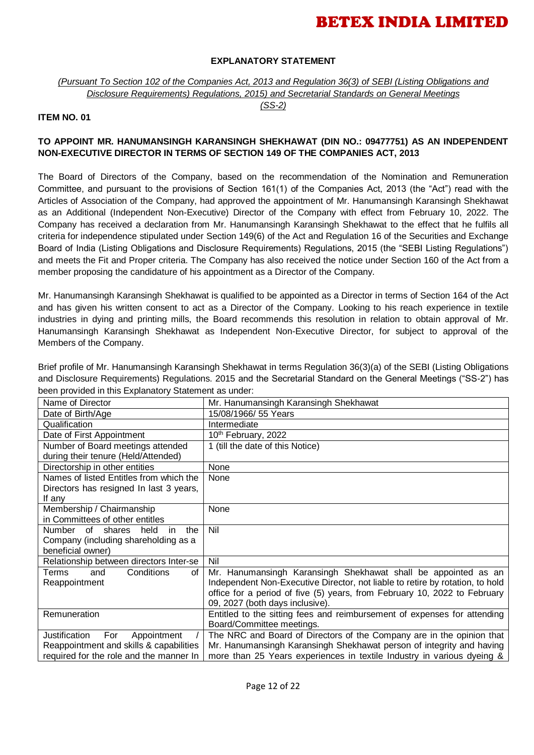### **EXPLANATORY STATEMENT**

*(Pursuant To Section 102 of the Companies Act, 2013 and Regulation 36(3) of SEBI (Listing Obligations and Disclosure Requirements) Regulations, 2015) and Secretarial Standards on General Meetings*

*(SS-2)*

#### **ITEM NO. 01**

### **TO APPOINT MR. HANUMANSINGH KARANSINGH SHEKHAWAT (DIN NO.: 09477751) AS AN INDEPENDENT NON-EXECUTIVE DIRECTOR IN TERMS OF SECTION 149 OF THE COMPANIES ACT, 2013**

The Board of Directors of the Company, based on the recommendation of the Nomination and Remuneration Committee, and pursuant to the provisions of Section 161(1) of the Companies Act, 2013 (the "Act") read with the Articles of Association of the Company, had approved the appointment of Mr. Hanumansingh Karansingh Shekhawat as an Additional (Independent Non-Executive) Director of the Company with effect from February 10, 2022. The Company has received a declaration from Mr. Hanumansingh Karansingh Shekhawat to the effect that he fulfils all criteria for independence stipulated under Section 149(6) of the Act and Regulation 16 of the Securities and Exchange Board of India (Listing Obligations and Disclosure Requirements) Regulations, 2015 (the "SEBI Listing Regulations") and meets the Fit and Proper criteria. The Company has also received the notice under Section 160 of the Act from a member proposing the candidature of his appointment as a Director of the Company.

Mr. Hanumansingh Karansingh Shekhawat is qualified to be appointed as a Director in terms of Section 164 of the Act and has given his written consent to act as a Director of the Company. Looking to his reach experience in textile industries in dying and printing mills, the Board recommends this resolution in relation to obtain approval of Mr. Hanumansingh Karansingh Shekhawat as Independent Non-Executive Director, for subject to approval of the Members of the Company.

Brief profile of Mr. Hanumansingh Karansingh Shekhawat in terms Regulation 36(3)(a) of the SEBI (Listing Obligations and Disclosure Requirements) Regulations. 2015 and the Secretarial Standard on the General Meetings ("SS-2") has been provided in this Explanatory Statement as under:

| Name of Director                        | Mr. Hanumansingh Karansingh Shekhawat                                         |
|-----------------------------------------|-------------------------------------------------------------------------------|
| Date of Birth/Age                       | 15/08/1966/ 55 Years                                                          |
| Qualification                           | Intermediate                                                                  |
| Date of First Appointment               | 10th February, 2022                                                           |
| Number of Board meetings attended       | 1 (till the date of this Notice)                                              |
| during their tenure (Held/Attended)     |                                                                               |
| Directorship in other entities          | None                                                                          |
| Names of listed Entitles from which the | None                                                                          |
| Directors has resigned In last 3 years, |                                                                               |
| If any                                  |                                                                               |
| Membership / Chairmanship               | None                                                                          |
| in Committees of other entitles         |                                                                               |
| Number of shares<br>held<br>in<br>the   | Nil                                                                           |
| Company (including shareholding as a    |                                                                               |
| beneficial owner)                       |                                                                               |
| Relationship between directors Inter-se | Nil                                                                           |
| Conditions<br>Terms<br>and<br>οf        | Mr. Hanumansingh Karansingh Shekhawat shall be appointed as an                |
| Reappointment                           | Independent Non-Executive Director, not liable to retire by rotation, to hold |
|                                         | office for a period of five (5) years, from February 10, 2022 to February     |
|                                         | 09, 2027 (both days inclusive).                                               |
| Remuneration                            | Entitled to the sitting fees and reimbursement of expenses for attending      |
|                                         | Board/Committee meetings.                                                     |
| For<br>Appointment<br>Justification     | The NRC and Board of Directors of the Company are in the opinion that         |
| Reappointment and skills & capabilities | Mr. Hanumansingh Karansingh Shekhawat person of integrity and having          |
| required for the role and the manner In | more than 25 Years experiences in textile Industry in various dyeing &        |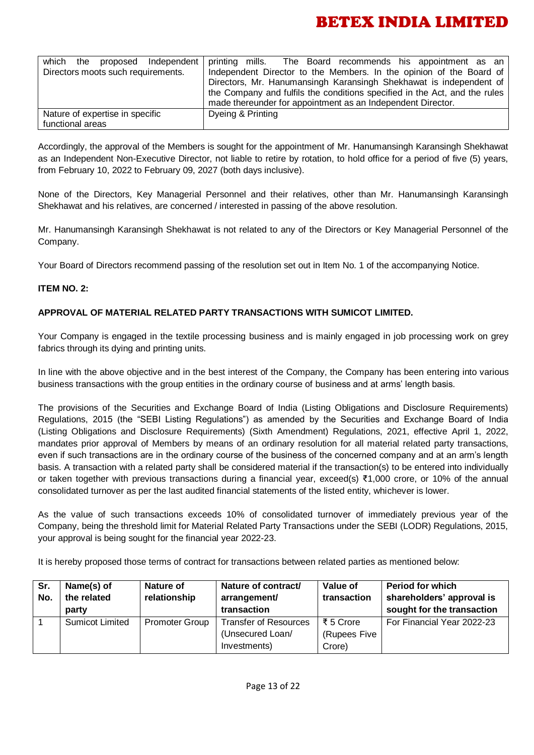| which the proposed Independent     | printing mills. The Board recommends his appointment as an                 |
|------------------------------------|----------------------------------------------------------------------------|
| Directors moots such requirements. | Independent Director to the Members. In the opinion of the Board of        |
|                                    | Directors, Mr. Hanumansingh Karansingh Shekhawat is independent of         |
|                                    | the Company and fulfils the conditions specified in the Act, and the rules |
|                                    | made thereunder for appointment as an Independent Director.                |
| Nature of expertise in specific    | Dyeing & Printing                                                          |
| functional areas                   |                                                                            |

Accordingly, the approval of the Members is sought for the appointment of Mr. Hanumansingh Karansingh Shekhawat as an Independent Non-Executive Director, not liable to retire by rotation, to hold office for a period of five (5) years, from February 10, 2022 to February 09, 2027 (both days inclusive).

None of the Directors, Key Managerial Personnel and their relatives, other than Mr. Hanumansingh Karansingh Shekhawat and his relatives, are concerned / interested in passing of the above resolution.

Mr. Hanumansingh Karansingh Shekhawat is not related to any of the Directors or Key Managerial Personnel of the Company.

Your Board of Directors recommend passing of the resolution set out in Item No. 1 of the accompanying Notice.

### **ITEM NO. 2:**

### **APPROVAL OF MATERIAL RELATED PARTY TRANSACTIONS WITH SUMICOT LIMITED.**

Your Company is engaged in the textile processing business and is mainly engaged in job processing work on grey fabrics through its dying and printing units.

In line with the above objective and in the best interest of the Company, the Company has been entering into various business transactions with the group entities in the ordinary course of business and at arms' length basis.

The provisions of the Securities and Exchange Board of India (Listing Obligations and Disclosure Requirements) Regulations, 2015 (the "SEBI Listing Regulations") as amended by the Securities and Exchange Board of India (Listing Obligations and Disclosure Requirements) (Sixth Amendment) Regulations, 2021, effective April 1, 2022, mandates prior approval of Members by means of an ordinary resolution for all material related party transactions, even if such transactions are in the ordinary course of the business of the concerned company and at an arm's length basis. A transaction with a related party shall be considered material if the transaction(s) to be entered into individually or taken together with previous transactions during a financial year, exceed(s) ₹1,000 crore, or 10% of the annual consolidated turnover as per the last audited financial statements of the listed entity, whichever is lower.

As the value of such transactions exceeds 10% of consolidated turnover of immediately previous year of the Company, being the threshold limit for Material Related Party Transactions under the SEBI (LODR) Regulations, 2015, your approval is being sought for the financial year 2022-23.

It is hereby proposed those terms of contract for transactions between related parties as mentioned below:

| Sr.<br>No. | Name(s) of<br>the related<br>party | Nature of<br>relationship | Nature of contract/<br>arrangement/<br>transaction               | Value of<br>transaction             | <b>Period for which</b><br>shareholders' approval is<br>sought for the transaction |
|------------|------------------------------------|---------------------------|------------------------------------------------------------------|-------------------------------------|------------------------------------------------------------------------------------|
|            | <b>Sumicot Limited</b>             | <b>Promoter Group</b>     | <b>Transfer of Resources</b><br>(Unsecured Loan/<br>Investments) | ₹ 5 Crore<br>(Rupees Five<br>Crore) | For Financial Year 2022-23                                                         |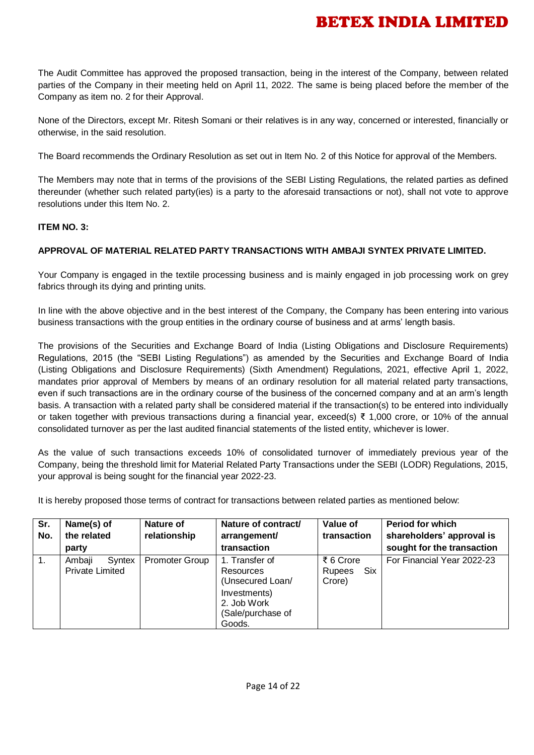The Audit Committee has approved the proposed transaction, being in the interest of the Company, between related parties of the Company in their meeting held on April 11, 2022. The same is being placed before the member of the Company as item no. 2 for their Approval.

None of the Directors, except Mr. Ritesh Somani or their relatives is in any way, concerned or interested, financially or otherwise, in the said resolution.

The Board recommends the Ordinary Resolution as set out in Item No. 2 of this Notice for approval of the Members.

The Members may note that in terms of the provisions of the SEBI Listing Regulations, the related parties as defined thereunder (whether such related party(ies) is a party to the aforesaid transactions or not), shall not vote to approve resolutions under this Item No. 2.

### **ITEM NO. 3:**

### **APPROVAL OF MATERIAL RELATED PARTY TRANSACTIONS WITH AMBAJI SYNTEX PRIVATE LIMITED.**

Your Company is engaged in the textile processing business and is mainly engaged in job processing work on grey fabrics through its dying and printing units.

In line with the above objective and in the best interest of the Company, the Company has been entering into various business transactions with the group entities in the ordinary course of business and at arms' length basis.

The provisions of the Securities and Exchange Board of India (Listing Obligations and Disclosure Requirements) Regulations, 2015 (the "SEBI Listing Regulations") as amended by the Securities and Exchange Board of India (Listing Obligations and Disclosure Requirements) (Sixth Amendment) Regulations, 2021, effective April 1, 2022, mandates prior approval of Members by means of an ordinary resolution for all material related party transactions, even if such transactions are in the ordinary course of the business of the concerned company and at an arm's length basis. A transaction with a related party shall be considered material if the transaction(s) to be entered into individually or taken together with previous transactions during a financial year, exceed(s) ₹ 1,000 crore, or 10% of the annual consolidated turnover as per the last audited financial statements of the listed entity, whichever is lower.

As the value of such transactions exceeds 10% of consolidated turnover of immediately previous year of the Company, being the threshold limit for Material Related Party Transactions under the SEBI (LODR) Regulations, 2015, your approval is being sought for the financial year 2022-23.

It is hereby proposed those terms of contract for transactions between related parties as mentioned below:

| Sr.<br>No.     | Name(s) of<br>the related<br>party         | Nature of<br>relationship | Nature of contract/<br>arrangement/<br>transaction                                                            | Value of<br>transaction                     | <b>Period for which</b><br>shareholders' approval is<br>sought for the transaction |
|----------------|--------------------------------------------|---------------------------|---------------------------------------------------------------------------------------------------------------|---------------------------------------------|------------------------------------------------------------------------------------|
| $\mathbf{1}$ . | Ambaji<br>Syntex<br><b>Private Limited</b> | <b>Promoter Group</b>     | 1. Transfer of<br>Resources<br>(Unsecured Loan/<br>Investments)<br>2. Job Work<br>(Sale/purchase of<br>Goods. | ₹ 6 Crore<br><b>Six</b><br>Rupees<br>Crore) | For Financial Year 2022-23                                                         |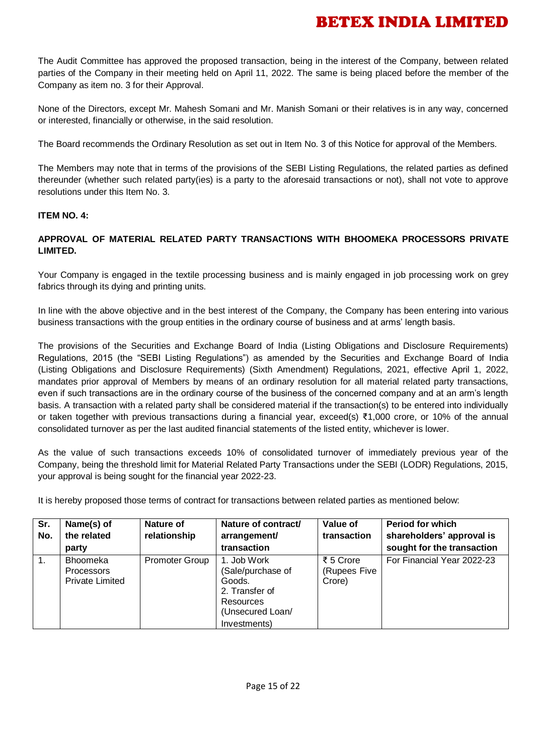The Audit Committee has approved the proposed transaction, being in the interest of the Company, between related parties of the Company in their meeting held on April 11, 2022. The same is being placed before the member of the Company as item no. 3 for their Approval.

None of the Directors, except Mr. Mahesh Somani and Mr. Manish Somani or their relatives is in any way, concerned or interested, financially or otherwise, in the said resolution.

The Board recommends the Ordinary Resolution as set out in Item No. 3 of this Notice for approval of the Members.

The Members may note that in terms of the provisions of the SEBI Listing Regulations, the related parties as defined thereunder (whether such related party(ies) is a party to the aforesaid transactions or not), shall not vote to approve resolutions under this Item No. 3.

### **ITEM NO. 4:**

### **APPROVAL OF MATERIAL RELATED PARTY TRANSACTIONS WITH BHOOMEKA PROCESSORS PRIVATE LIMITED.**

Your Company is engaged in the textile processing business and is mainly engaged in job processing work on grey fabrics through its dying and printing units.

In line with the above objective and in the best interest of the Company, the Company has been entering into various business transactions with the group entities in the ordinary course of business and at arms' length basis.

The provisions of the Securities and Exchange Board of India (Listing Obligations and Disclosure Requirements) Regulations, 2015 (the "SEBI Listing Regulations") as amended by the Securities and Exchange Board of India (Listing Obligations and Disclosure Requirements) (Sixth Amendment) Regulations, 2021, effective April 1, 2022, mandates prior approval of Members by means of an ordinary resolution for all material related party transactions, even if such transactions are in the ordinary course of the business of the concerned company and at an arm's length basis. A transaction with a related party shall be considered material if the transaction(s) to be entered into individually or taken together with previous transactions during a financial year, exceed(s) ₹1,000 crore, or 10% of the annual consolidated turnover as per the last audited financial statements of the listed entity, whichever is lower.

As the value of such transactions exceeds 10% of consolidated turnover of immediately previous year of the Company, being the threshold limit for Material Related Party Transactions under the SEBI (LODR) Regulations, 2015, your approval is being sought for the financial year 2022-23.

It is hereby proposed those terms of contract for transactions between related parties as mentioned below:

| Sr.<br>No.     | Name(s) of<br>the related<br>party                             | <b>Nature of</b><br>relationship | Nature of contract/<br>arrangement/<br>transaction                                                            | Value of<br>transaction             | <b>Period for which</b><br>shareholders' approval is<br>sought for the transaction |
|----------------|----------------------------------------------------------------|----------------------------------|---------------------------------------------------------------------------------------------------------------|-------------------------------------|------------------------------------------------------------------------------------|
| $\mathbf{1}$ . | <b>Bhoomeka</b><br><b>Processors</b><br><b>Private Limited</b> | <b>Promoter Group</b>            | 1. Job Work<br>(Sale/purchase of<br>Goods.<br>2. Transfer of<br>Resources<br>(Unsecured Loan/<br>Investments) | ₹ 5 Crore<br>(Rupees Five<br>Crore) | For Financial Year 2022-23                                                         |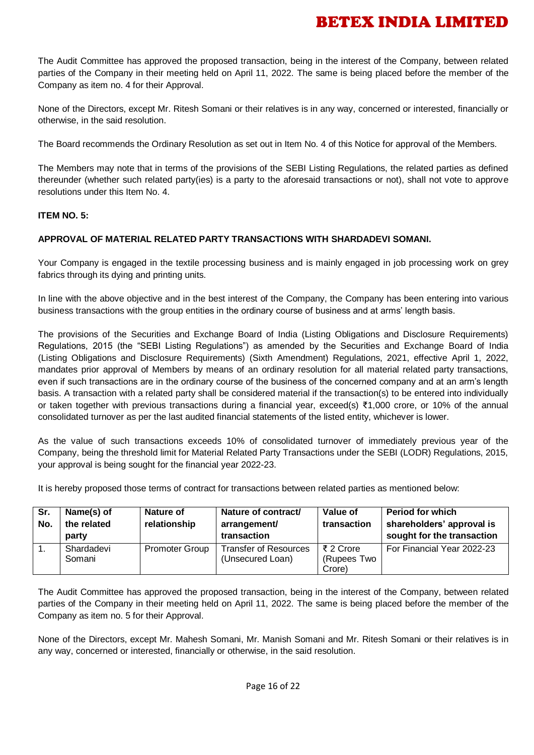The Audit Committee has approved the proposed transaction, being in the interest of the Company, between related parties of the Company in their meeting held on April 11, 2022. The same is being placed before the member of the Company as item no. 4 for their Approval.

None of the Directors, except Mr. Ritesh Somani or their relatives is in any way, concerned or interested, financially or otherwise, in the said resolution.

The Board recommends the Ordinary Resolution as set out in Item No. 4 of this Notice for approval of the Members.

The Members may note that in terms of the provisions of the SEBI Listing Regulations, the related parties as defined thereunder (whether such related party(ies) is a party to the aforesaid transactions or not), shall not vote to approve resolutions under this Item No. 4.

### **ITEM NO. 5:**

### **APPROVAL OF MATERIAL RELATED PARTY TRANSACTIONS WITH SHARDADEVI SOMANI.**

Your Company is engaged in the textile processing business and is mainly engaged in job processing work on grey fabrics through its dying and printing units.

In line with the above objective and in the best interest of the Company, the Company has been entering into various business transactions with the group entities in the ordinary course of business and at arms' length basis.

The provisions of the Securities and Exchange Board of India (Listing Obligations and Disclosure Requirements) Regulations, 2015 (the "SEBI Listing Regulations") as amended by the Securities and Exchange Board of India (Listing Obligations and Disclosure Requirements) (Sixth Amendment) Regulations, 2021, effective April 1, 2022, mandates prior approval of Members by means of an ordinary resolution for all material related party transactions, even if such transactions are in the ordinary course of the business of the concerned company and at an arm's length basis. A transaction with a related party shall be considered material if the transaction(s) to be entered into individually or taken together with previous transactions during a financial year, exceed(s) ₹1,000 crore, or 10% of the annual consolidated turnover as per the last audited financial statements of the listed entity, whichever is lower.

As the value of such transactions exceeds 10% of consolidated turnover of immediately previous year of the Company, being the threshold limit for Material Related Party Transactions under the SEBI (LODR) Regulations, 2015, your approval is being sought for the financial year 2022-23.

It is hereby proposed those terms of contract for transactions between related parties as mentioned below:

| Sr.<br>No.     | Name(s) of<br>the related<br>party | Nature of<br>relationship | Nature of contract/<br>arrangement/<br>transaction | Value of<br>transaction            | <b>Period for which</b><br>shareholders' approval is<br>sought for the transaction |
|----------------|------------------------------------|---------------------------|----------------------------------------------------|------------------------------------|------------------------------------------------------------------------------------|
| $\mathbf{1}$ . | Shardadevi<br>Somani               | <b>Promoter Group</b>     | <b>Transfer of Resources</b><br>(Unsecured Loan)   | ₹ 2 Crore<br>(Rupees Two<br>Crore) | For Financial Year 2022-23                                                         |

The Audit Committee has approved the proposed transaction, being in the interest of the Company, between related parties of the Company in their meeting held on April 11, 2022. The same is being placed before the member of the Company as item no. 5 for their Approval.

None of the Directors, except Mr. Mahesh Somani, Mr. Manish Somani and Mr. Ritesh Somani or their relatives is in any way, concerned or interested, financially or otherwise, in the said resolution.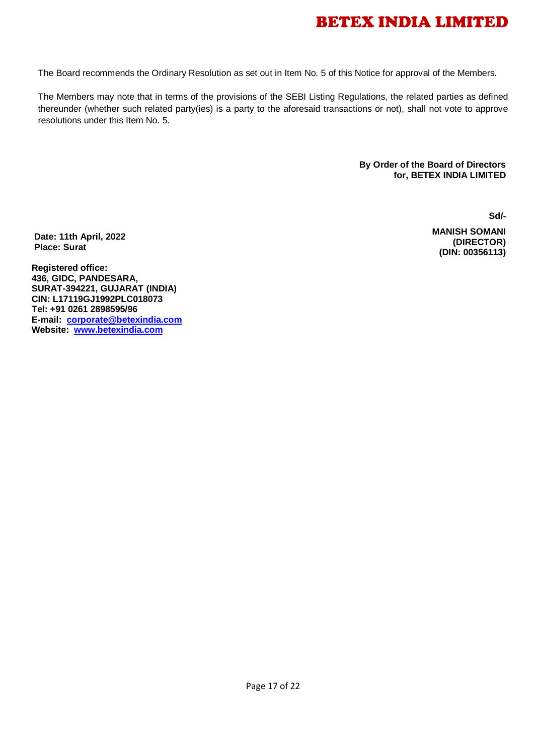The Board recommends the Ordinary Resolution as set out in Item No. 5 of this Notice for approval of the Members.

The Members may note that in terms of the provisions of the SEBI Listing Regulations, the related parties as defined thereunder (whether such related party(ies) is a party to the aforesaid transactions or not), shall not vote to approve resolutions under this Item No. 5.

> **By Order of the Board of Directors for, BETEX INDIA LIMITED**

> > **Sd/-**

 **MANISH SOMANI (DIRECTOR) (DIN: 00356113)**

**Date: 11th April, 2022 Place: Surat**

**Registered office: 436, GIDC, PANDESARA, SURAT-394221, GUJARAT (INDIA) CIN: L17119GJ1992PLC018073 Tel: +91 0261 2898595/96 E-mail: [corporate@betexindia.com](mailto:corporate@betexindia.com) Website: [www.betexindia.com](http://www.betexindia.com/)**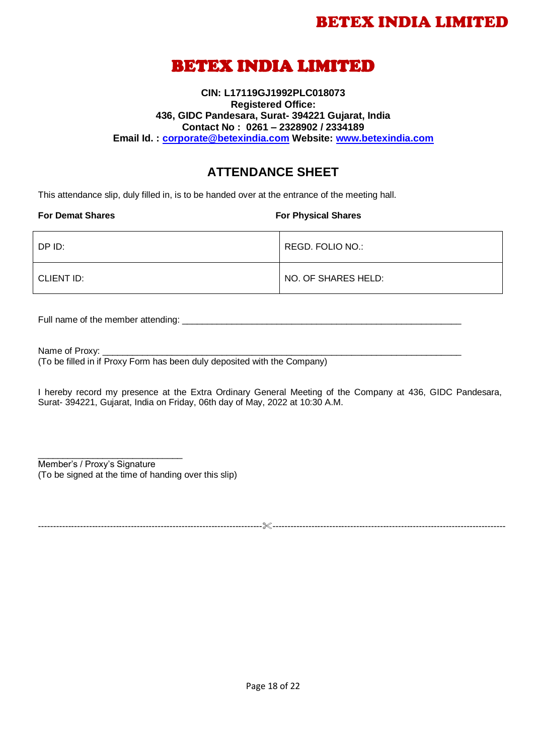## BETEX INDIA LIMITED

### **CIN: L17119GJ1992PLC018073 Registered Office: 436, GIDC Pandesara, Surat- 394221 Gujarat, India Contact No : 0261 – 2328902 / 2334189 Email Id. : [corporate@betexindia.com](mailto:corporate@betexindia.com) Website: [www.betexindia.com](http://www.betexindia.com/)**

### **ATTENDANCE SHEET**

This attendance slip, duly filled in, is to be handed over at the entrance of the meeting hall.

#### **For Demat Shares For Physical Shares**

| DP ID:     | REGD. FOLIO NO.:    |
|------------|---------------------|
| CLIENT ID: | NO. OF SHARES HELD: |

Full name of the member attending: \_\_\_\_\_\_\_\_\_\_\_\_\_\_\_\_\_\_\_\_\_\_\_\_\_\_\_\_\_\_\_\_\_\_\_\_\_\_\_\_\_\_\_\_\_\_\_\_\_\_\_\_\_\_\_\_

Name of Proxy:

(To be filled in if Proxy Form has been duly deposited with the Company)

I hereby record my presence at the Extra Ordinary General Meeting of the Company at 436, GIDC Pandesara, Surat- 394221, Gujarat, India on Friday, 06th day of May, 2022 at 10:30 A.M.

\_\_\_\_\_\_\_\_\_\_\_\_\_\_\_\_\_\_\_\_\_\_\_\_\_\_\_\_\_ Member's / Proxy's Signature (To be signed at the time of handing over this slip)

---------------------------------------------------------------------------------------------------------------------------------------------------------

Page 18 of 22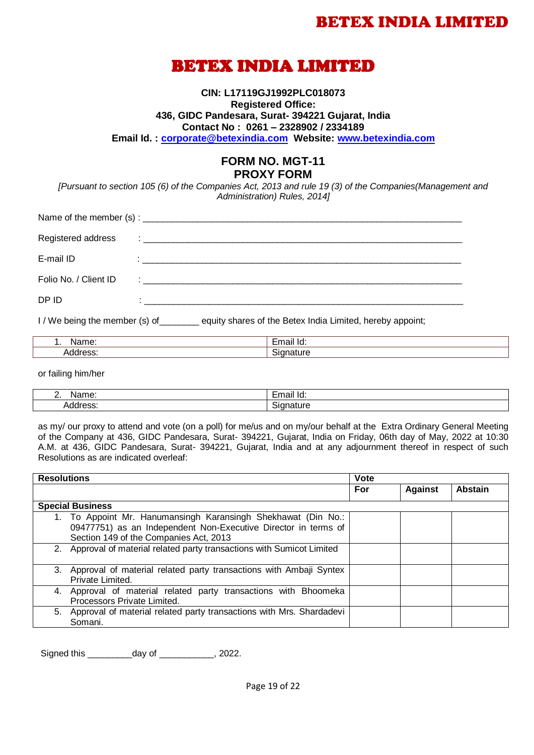## BETEX INDIA LIMITED

**CIN: L17119GJ1992PLC018073 Registered Office: 436, GIDC Pandesara, Surat- 394221 Gujarat, India Contact No : 0261 – 2328902 / 2334189 Email Id. : [corporate@betexindia.com](mailto:corporate@betexindia.com) Website: [www.betexindia.com](http://www.betexindia.com/)**

### **FORM NO. MGT-11 PROXY FORM**

*[Pursuant to section 105 (6) of the Companies Act, 2013 and rule 19 (3) of the Companies(Management and Administration) Rules, 2014]*

| Registered address    |                                                                   |  |  |  |
|-----------------------|-------------------------------------------------------------------|--|--|--|
| E-mail ID             |                                                                   |  |  |  |
| Folio No. / Client ID | <u> 1986 - Jan Stein Stein, fransk politik (d. 1986)</u>          |  |  |  |
| DP ID                 | <u> 1980 - John Stein, mars and de Britain Bourgest (b. 1980)</u> |  |  |  |

I / We being the member (s) of equity shares of the Betex India Limited, hereby appoint;

| M.  | . .     |
|-----|---------|
| ד   | יי      |
| . . | ю.      |
| 71  | --<br>. |

or failing him/her

| M.<br><u>.</u> | -<br>- m<br>יי<br>юш<br>- 19<br>. |
|----------------|-----------------------------------|
| .<br>. .       | - --                              |

as my/ our proxy to attend and vote (on a poll) for me/us and on my/our behalf at the Extra Ordinary General Meeting of the Company at 436, GIDC Pandesara, Surat- 394221, Gujarat, India on Friday, 06th day of May, 2022 at 10:30 A.M. at 436, GIDC Pandesara, Surat- 394221, Gujarat, India and at any adjournment thereof in respect of such Resolutions as are indicated overleaf:

| <b>Resolutions</b> |                                                                                                                                                                           | <b>Vote</b> |                |                |
|--------------------|---------------------------------------------------------------------------------------------------------------------------------------------------------------------------|-------------|----------------|----------------|
|                    |                                                                                                                                                                           | For         | <b>Against</b> | <b>Abstain</b> |
|                    | <b>Special Business</b>                                                                                                                                                   |             |                |                |
|                    | 1. To Appoint Mr. Hanumansingh Karansingh Shekhawat (Din No.:<br>09477751) as an Independent Non-Executive Director in terms of<br>Section 149 of the Companies Act, 2013 |             |                |                |
|                    | 2. Approval of material related party transactions with Sumicot Limited                                                                                                   |             |                |                |
|                    | 3. Approval of material related party transactions with Ambaji Syntex<br>Private Limited.                                                                                 |             |                |                |
|                    | 4. Approval of material related party transactions with Bhoomeka<br>Processors Private Limited.                                                                           |             |                |                |
|                    | 5. Approval of material related party transactions with Mrs. Shardadevi<br>Somani.                                                                                        |             |                |                |

Signed this day of the set of the set of the set of the set of the set of the set of the set of the set of the set of the set of the set of the set of the set of the set of the set of the set of the set of the set of the s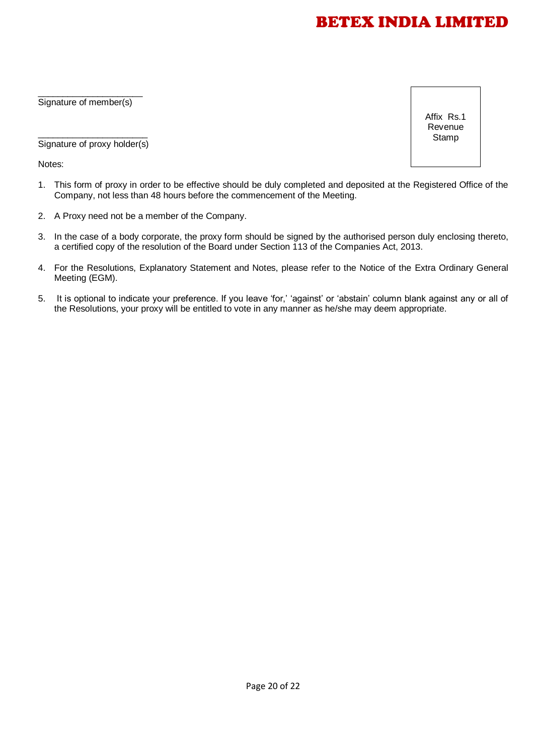\_\_\_\_\_\_\_\_\_\_\_\_\_\_\_\_\_\_\_\_\_ Signature of member(s)

Affix Rs.1 Revenue **Stamp** 

\_\_\_\_\_\_\_\_\_\_\_\_\_\_\_\_\_\_\_\_\_\_ Signature of proxy holder(s)

Notes:

- 1. This form of proxy in order to be effective should be duly completed and deposited at the Registered Office of the Company, not less than 48 hours before the commencement of the Meeting.
- 2. A Proxy need not be a member of the Company.
- 3. In the case of a body corporate, the proxy form should be signed by the authorised person duly enclosing thereto, a certified copy of the resolution of the Board under Section 113 of the Companies Act, 2013.
- 4. For the Resolutions, Explanatory Statement and Notes, please refer to the Notice of the Extra Ordinary General Meeting (EGM).
- 5. It is optional to indicate your preference. If you leave 'for,' 'against' or 'abstain' column blank against any or all of the Resolutions, your proxy will be entitled to vote in any manner as he/she may deem appropriate.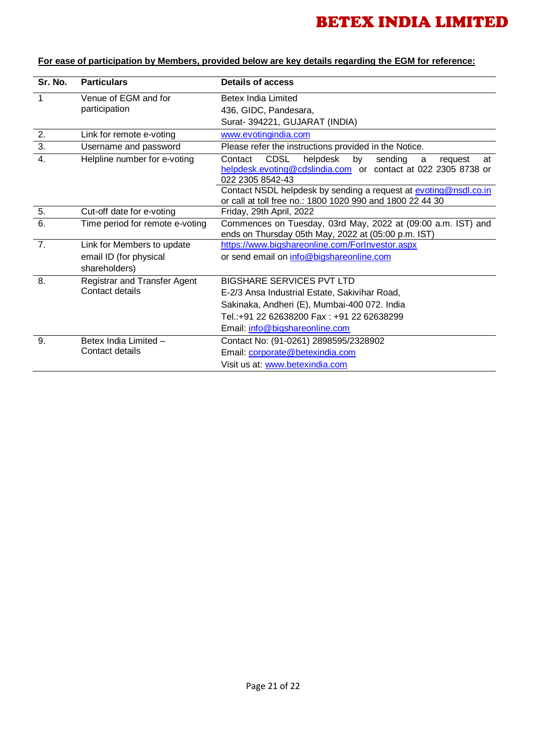| Sr. No.          | <b>Particulars</b>                      | <b>Details of access</b>                                                                                                                                       |  |  |
|------------------|-----------------------------------------|----------------------------------------------------------------------------------------------------------------------------------------------------------------|--|--|
| 1                | Venue of EGM and for                    | Betex India Limited                                                                                                                                            |  |  |
|                  | participation                           | 436, GIDC, Pandesara,                                                                                                                                          |  |  |
|                  |                                         | Surat- 394221, GUJARAT (INDIA)                                                                                                                                 |  |  |
| 2.               | Link for remote e-voting                | www.evotingindia.com                                                                                                                                           |  |  |
| $\overline{3}$ . | Username and password                   | Please refer the instructions provided in the Notice.                                                                                                          |  |  |
| $\overline{4}$ . | Helpline number for e-voting            | <b>CDSL</b><br>helpdesk<br>Contact<br>sending<br>by<br>request<br>at<br>a<br>helpdesk.evoting@cdslindia.com or contact at 022 2305 8738 or<br>022 2305 8542-43 |  |  |
|                  |                                         | Contact NSDL helpdesk by sending a request at evoting@nsdl.co.in<br>or call at toll free no.: 1800 1020 990 and 1800 22 44 30                                  |  |  |
| 5.               | Cut-off date for e-voting               | Friday, 29th April, 2022                                                                                                                                       |  |  |
| 6.               | Time period for remote e-voting         | Commences on Tuesday, 03rd May, 2022 at (09:00 a.m. IST) and<br>ends on Thursday 05th May, 2022 at (05:00 p.m. IST)                                            |  |  |
| 7.               | Link for Members to update              | https://www.bigshareonline.com/ForInvestor.aspx                                                                                                                |  |  |
|                  | email ID (for physical<br>shareholders) | or send email on info@bigshareonline.com                                                                                                                       |  |  |
| 8.               | Registrar and Transfer Agent            | <b>BIGSHARE SERVICES PVT LTD</b>                                                                                                                               |  |  |
|                  | Contact details                         | E-2/3 Ansa Industrial Estate, Sakivihar Road,                                                                                                                  |  |  |
|                  |                                         | Sakinaka, Andheri (E), Mumbai-400 072. India                                                                                                                   |  |  |
|                  |                                         | Tel.:+91 22 62638200 Fax: +91 22 62638299                                                                                                                      |  |  |
|                  |                                         | Email: info@bigshareonline.com                                                                                                                                 |  |  |
| 9.               | Betex India Limited -                   | Contact No: (91-0261) 2898595/2328902                                                                                                                          |  |  |
|                  | Contact details                         | Email: corporate@betexindia.com                                                                                                                                |  |  |
|                  |                                         | Visit us at: www.betexindia.com                                                                                                                                |  |  |

### **For ease of participation by Members, provided below are key details regarding the EGM for reference:**